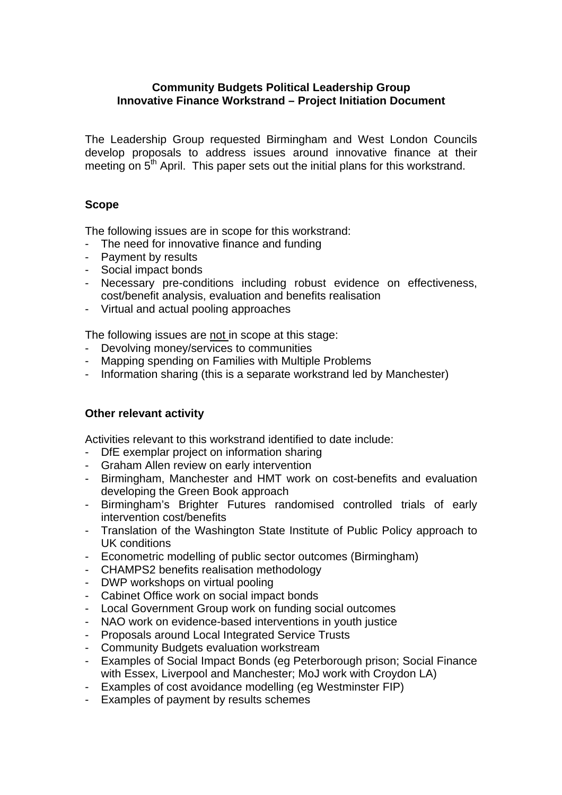#### **Community Budgets Political Leadership Group Innovative Finance Workstrand – Project Initiation Document**

The Leadership Group requested Birmingham and West London Councils develop proposals to address issues around innovative finance at their meeting on  $5<sup>th</sup>$  April. This paper sets out the initial plans for this workstrand.

## **Scope**

The following issues are in scope for this workstrand:

- The need for innovative finance and funding
- Payment by results
- Social impact bonds
- Necessary pre-conditions including robust evidence on effectiveness, cost/benefit analysis, evaluation and benefits realisation
- Virtual and actual pooling approaches

The following issues are not in scope at this stage:

- Devolving money/services to communities
- Mapping spending on Families with Multiple Problems
- Information sharing (this is a separate workstrand led by Manchester)

# **Other relevant activity**

Activities relevant to this workstrand identified to date include:

- DfE exemplar project on information sharing
- Graham Allen review on early intervention
- Birmingham, Manchester and HMT work on cost-benefits and evaluation developing the Green Book approach
- Birmingham's Brighter Futures randomised controlled trials of early intervention cost/benefits
- Translation of the Washington State Institute of Public Policy approach to UK conditions
- Econometric modelling of public sector outcomes (Birmingham)
- CHAMPS2 benefits realisation methodology
- DWP workshops on virtual pooling
- Cabinet Office work on social impact bonds
- Local Government Group work on funding social outcomes
- NAO work on evidence-based interventions in youth justice
- Proposals around Local Integrated Service Trusts
- Community Budgets evaluation workstream
- Examples of Social Impact Bonds (eg Peterborough prison; Social Finance with Essex, Liverpool and Manchester; MoJ work with Croydon LA)
- Examples of cost avoidance modelling (eg Westminster FIP)
- Examples of payment by results schemes